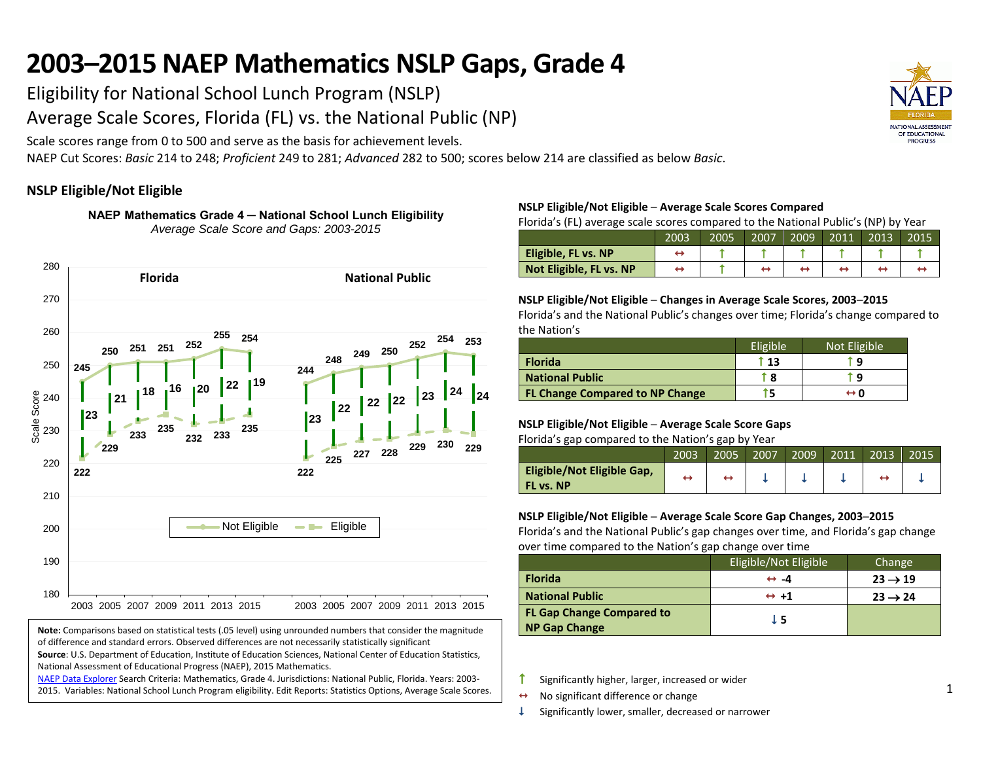# **2003–2015 NAEP Mathematics NSLP Gaps, Grade 4**

Eligibility for National School Lunch Program (NSLP)

Average Scale Scores, Florida (FL) vs. the National Public (NP)

Scale scores range from 0 to 500 and serve as the basis for achievement levels.

NAEP Cut Scores: *Basic* 214 to 248; *Proficient* 249 to 281; *Advanced* 282 to 500; scores below 214 are classified as below *Basic*.

# **NSLP Eligible/Not Eligible**

**NAEP Mathematics Grade 4 ─ National School Lunch Eligibility** *Average Scale Score and Gaps: 2003-2015*



#### **Note:** Comparisons based on statistical tests (.05 level) using unrounded numbers that consider the magnitude of difference and standard errors. Observed differences are not necessarily statistically significant

**Source**: U.S. Department of Education, Institute of Education Sciences, National Center of Education Statistics, National Assessment of Educational Progress (NAEP), 2015 Mathematics.

[NAEP Data Explorer](http://nces.ed.gov/nationsreportcard/naepdata/) Search Criteria: Mathematics, Grade 4. Jurisdictions: National Public, Florida. Years: 2003- 2015. Variables: National School Lunch Program eligibility. Edit Reports: Statistics Options, Average Scale Scores.

#### **NSLP Eligible/Not Eligible ─ Average Scale Scores Compared**

Florida's (FL) average scale scores compared to the National Public's (NP) by Year

|                         | 2003 | 2005 | 2007 | 2009 | 2011 | 2013 | 2015 |
|-------------------------|------|------|------|------|------|------|------|
| Eligible, FL vs. NP     |      |      |      |      |      |      |      |
| Not Eligible, FL vs. NP |      |      |      |      |      |      |      |

#### **NSLP Eligible/Not Eligible ─ Changes in Average Scale Scores, 2003─2015**

Florida's and the National Public's changes over time; Florida's change compared to the Nation's

|                                 | Eligible <sup>'</sup> | Not Eligible        |
|---------------------------------|-----------------------|---------------------|
| <b>Florida</b>                  | ↑ 13                  | īА                  |
| <b>National Public</b>          | T 8                   | īА                  |
| FL Change Compared to NP Change |                       | $\leftrightarrow$ 0 |

## **NSLP Eligible/Not Eligible ─ Average Scale Score Gaps**

Florida's gap compared to the Nation's gap by Year

|                                                       | 2003 | 2005 | 2007 | 2009 | 2011 | 2013 | 2015 |
|-------------------------------------------------------|------|------|------|------|------|------|------|
| <b>Eligible/Not Eligible Gap,</b><br><b>FL vs. NP</b> |      |      |      |      |      |      |      |

#### **NSLP Eligible/Not Eligible ─ Average Scale Score Gap Changes, 2003─2015**

Florida's and the National Public's gap changes over time, and Florida's gap change over time compared to the Nation's gap change over time

|                                                          | Eligible/Not Eligible | Change              |
|----------------------------------------------------------|-----------------------|---------------------|
| <b>Florida</b>                                           | $\leftrightarrow -4$  | $23 \rightarrow 19$ |
| <b>National Public</b>                                   | $leftrightarrow$ +1   | $23 \rightarrow 24$ |
| <b>FL Gap Change Compared to</b><br><b>NP Gap Change</b> | J 5                   |                     |

 $\uparrow$  Significantly higher, larger, increased or wider

- $\leftrightarrow$  No significant difference or change
- $\downarrow$  Significantly lower, smaller, decreased or narrower

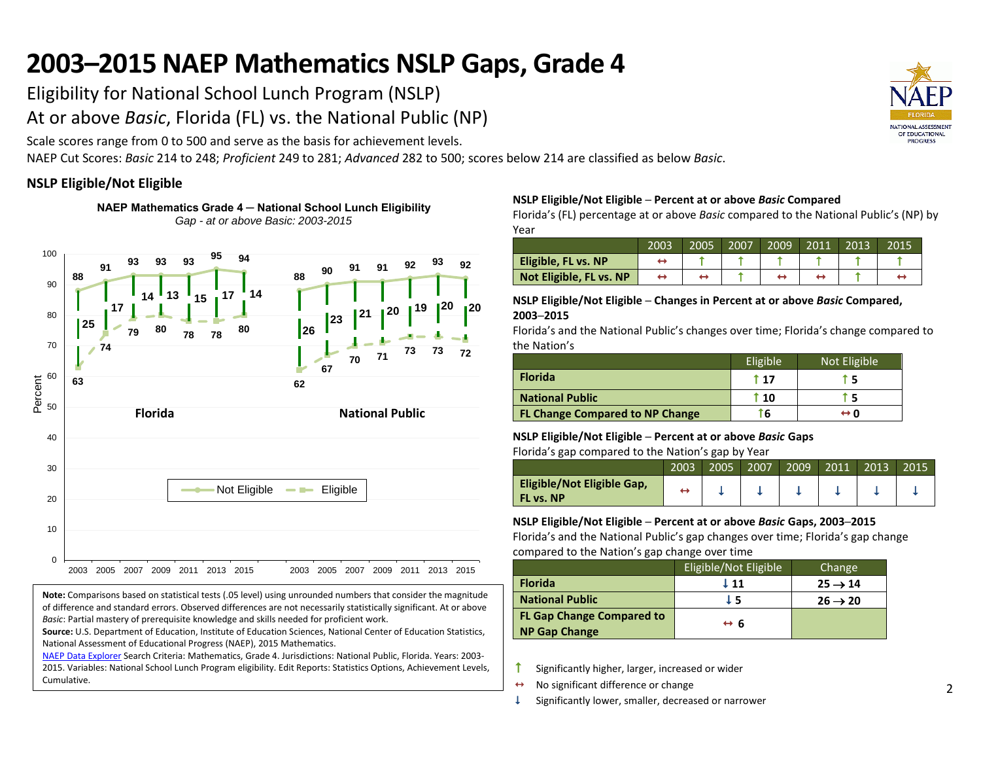# **2003–2015 NAEP Mathematics NSLP Gaps, Grade 4**

Eligibility for National School Lunch Program (NSLP) At or above *Basic*, Florida (FL) vs. the National Public (NP)

Scale scores range from 0 to 500 and serve as the basis for achievement levels.

NAEP Cut Scores: *Basic* 214 to 248; *Proficient* 249 to 281; *Advanced* 282 to 500; scores below 214 are classified as below *Basic*.

# **NSLP Eligible/Not Eligible**



**Note:** Comparisons based on statistical tests (.05 level) using unrounded numbers that consider the magnitude of difference and standard errors. Observed differences are not necessarily statistically significant. At or above *Basic*: Partial mastery of prerequisite knowledge and skills needed for proficient work.

**Source:** U.S. Department of Education, Institute of Education Sciences, National Center of Education Statistics, National Assessment of Educational Progress (NAEP), 2015 Mathematics.

[NAEP Data Explorer](http://nces.ed.gov/nationsreportcard/naepdata/) Search Criteria: Mathematics, Grade 4. Jurisdictions: National Public, Florida. Years: 2003- 2015. Variables: National School Lunch Program eligibility. Edit Reports: Statistics Options, Achievement Levels, Cumulative.

## **NSLP Eligible/Not Eligible ─ Percent at or above** *Basic* **Compared**

Florida's (FL) percentage at or above *Basic* compared to the National Public's (NP) by Year

|                            | 2003 | 2005 | 2007 | 2009 | 2011 | 2013 | 2015 |
|----------------------------|------|------|------|------|------|------|------|
| <b>Eligible, FL vs. NP</b> |      |      |      |      |      |      |      |
| Not Eligible, FL vs. NP    |      |      |      |      |      |      |      |

### **NSLP Eligible/Not Eligible ─ Changes in Percent at or above** *Basic* **Compared, 2003─2015**

Florida's and the National Public's changes over time; Florida's change compared to the Nation's

|                                        | Eligible | Not Eligible |
|----------------------------------------|----------|--------------|
| <b>Florida</b>                         | t 17     | T 5          |
| <b>National Public</b>                 | t 10     |              |
| <b>FL Change Compared to NP Change</b> | -6       | ⇔n           |

## **NSLP Eligible/Not Eligible ─ Percent at or above** *Basic* **Gaps**

Florida's gap compared to the Nation's gap by Year

|                                         | 2003 | 2005 | 2007 | 2009 | 2011 | 2013 | 2015 |
|-----------------------------------------|------|------|------|------|------|------|------|
| Eligible/Not Eligible Gap,<br>FL vs. NP |      |      |      |      |      |      |      |

#### **NSLP Eligible/Not Eligible ─ Percent at or above** *Basic* **Gaps, 2003─2015**

Florida's and the National Public's gap changes over time; Florida's gap change compared to the Nation's gap change over time

|                                  | Eligible/Not Eligible | Change              |
|----------------------------------|-----------------------|---------------------|
| <b>Florida</b>                   | J 11                  | $25 \rightarrow 14$ |
| <b>National Public</b>           | I 5                   | $26 \rightarrow 20$ |
| <b>FL Gap Change Compared to</b> | $\leftrightarrow$ 6   |                     |
| <b>NP Gap Change</b>             |                       |                     |

 $\uparrow$  Significantly higher, larger, increased or wider

- $\leftrightarrow$  No significant difference or change
- $\downarrow$  Significantly lower, smaller, decreased or narrower